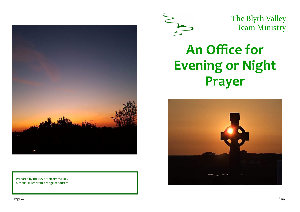





The Blyth Valley Team Ministry

# **An Office for Evening or Night Prayer**